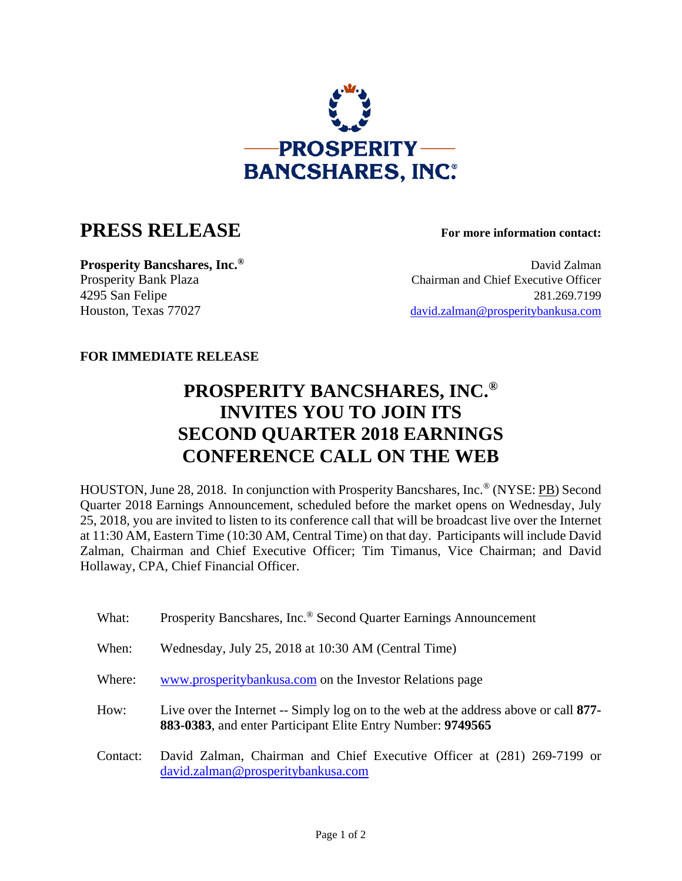

## **PRESS RELEASE For more information contact:**

**Prosperity Bancshares, Inc.<sup>®</sup> David Zalman** Prosperity Bank Plaza Chairman and Chief Executive Officer 4295 San Felipe 281.269.7199 Houston, Texas 77027 david.zalman@prosperitybankusa.com

## **FOR IMMEDIATE RELEASE**

## **PROSPERITY BANCSHARES, INC.® INVITES YOU TO JOIN ITS SECOND QUARTER 2018 EARNINGS CONFERENCE CALL ON THE WEB**

HOUSTON, June 28, 2018. In conjunction with Prosperity Bancshares, Inc.® (NYSE: PB) Second Quarter 2018 Earnings Announcement, scheduled before the market opens on Wednesday, July 25, 2018, you are invited to listen to its conference call that will be broadcast live over the Internet at 11:30 AM, Eastern Time (10:30 AM, Central Time) on that day. Participants will include David Zalman, Chairman and Chief Executive Officer; Tim Timanus, Vice Chairman; and David Hollaway, CPA, Chief Financial Officer.

What: Prosperity Bancshares, Inc.<sup>®</sup> Second Quarter Earnings Announcement When: Wednesday, July 25, 2018 at 10:30 AM (Central Time) Where: www.prosperitybankusa.com on the Investor Relations page How: Live over the Internet -- Simply log on to the web at the address above or call **877- 883-0383**, and enter Participant Elite Entry Number: **9749565** Contact: David Zalman, Chairman and Chief Executive Officer at (281) 269-7199 or david.zalman@prosperitybankusa.com